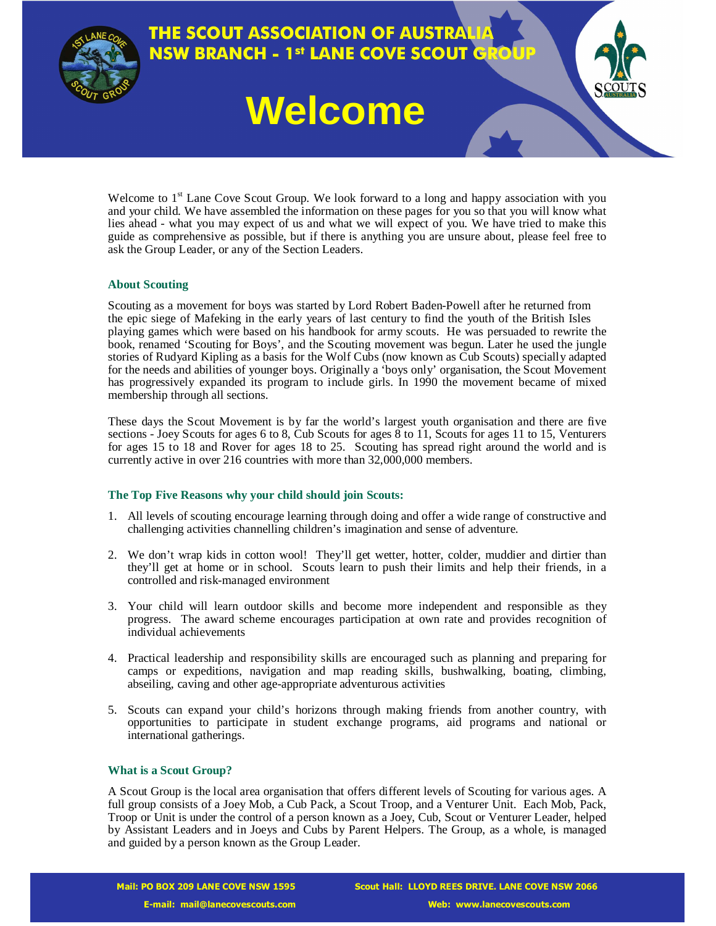

# **THE SCOUT ASSOCIATION OF AUSTRALIA NSW BRANCH - 1st LANE COVE SCOUT GRO**

# **Welcome**

Welcome to  $1<sup>st</sup>$  Lane Cove Scout Group. We look forward to a long and happy association with you and your child. We have assembled the information on these pages for you so that you will know what lies ahead - what you may expect of us and what we will expect of you. We have tried to make this guide as comprehensive as possible, but if there is anything you are unsure about, please feel free to ask the Group Leader, or any of the Section Leaders.

# **About Scouting**

Scouting as a movement for boys was started by Lord Robert Baden-Powell after he returned from the epic siege of Mafeking in the early years of last century to find the youth of the British Isles playing games which were based on his handbook for army scouts. He was persuaded to rewrite the book, renamed 'Scouting for Boys', and the Scouting movement was begun. Later he used the jungle stories of Rudyard Kipling as a basis for the Wolf Cubs (now known as Cub Scouts) specially adapted for the needs and abilities of younger boys. Originally a 'boys only' organisation, the Scout Movement has progressively expanded its program to include girls. In 1990 the movement became of mixed membership through all sections.

These days the Scout Movement is by far the world's largest youth organisation and there are five sections - Joey Scouts for ages 6 to 8, Cub Scouts for ages 8 to 11, Scouts for ages 11 to 15, Venturers for ages 15 to 18 and Rover for ages 18 to 25. Scouting has spread right around the world and is currently active in over 216 countries with more than 32,000,000 members.

# **The Top Five Reasons why your child should join Scouts:**

- 1. All levels of scouting encourage learning through doing and offer a wide range of constructive and challenging activities channelling children's imagination and sense of adventure.
- 2. We don't wrap kids in cotton wool! They'll get wetter, hotter, colder, muddier and dirtier than they'll get at home or in school. Scouts learn to push their limits and help their friends, in a controlled and risk-managed environment
- 3. Your child will learn outdoor skills and become more independent and responsible as they progress. The award scheme encourages participation at own rate and provides recognition of individual achievements
- 4. Practical leadership and responsibility skills are encouraged such as planning and preparing for camps or expeditions, navigation and map reading skills, bushwalking, boating, climbing, abseiling, caving and other age-appropriate adventurous activities
- 5. Scouts can expand your child's horizons through making friends from another country, with opportunities to participate in student exchange programs, aid programs and national or international gatherings.

# **What is a Scout Group?**

A Scout Group is the local area organisation that offers different levels of Scouting for various ages. A full group consists of a Joey Mob, a Cub Pack, a Scout Troop, and a Venturer Unit. Each Mob, Pack, Troop or Unit is under the control of a person known as a Joey, Cub, Scout or Venturer Leader, helped by Assistant Leaders and in Joeys and Cubs by Parent Helpers. The Group, as a whole, is managed and guided by a person known as the Group Leader.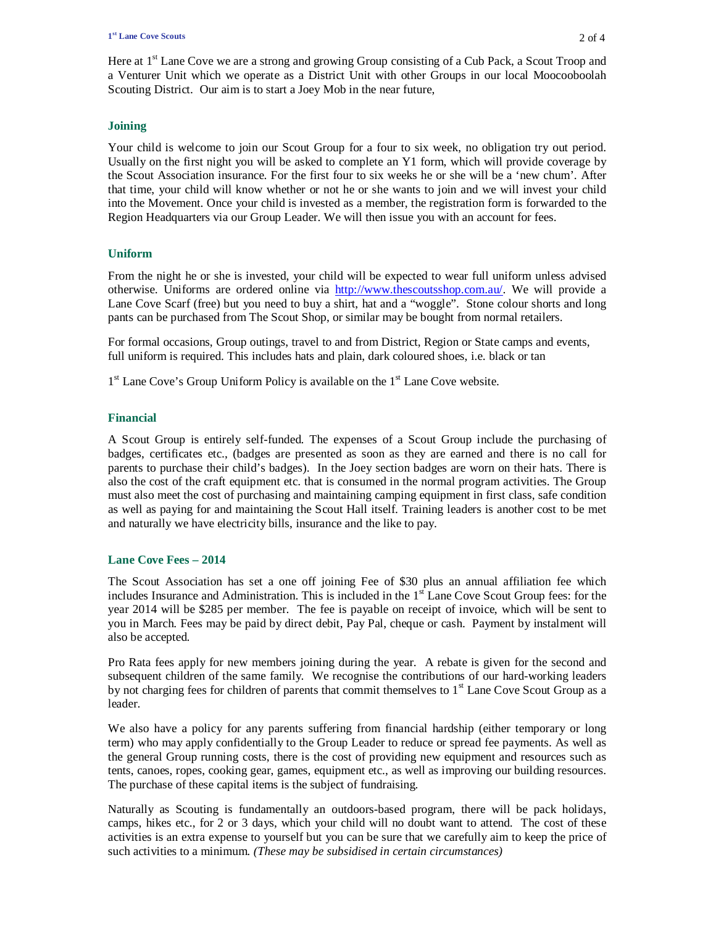Here at 1<sup>st</sup> Lane Cove we are a strong and growing Group consisting of a Cub Pack, a Scout Troop and a Venturer Unit which we operate as a District Unit with other Groups in our local Moocooboolah Scouting District. Our aim is to start a Joey Mob in the near future,

# **Joining**

Your child is welcome to join our Scout Group for a four to six week, no obligation try out period. Usually on the first night you will be asked to complete an Y1 form, which will provide coverage by the Scout Association insurance. For the first four to six weeks he or she will be a 'new chum'. After that time, your child will know whether or not he or she wants to join and we will invest your child into the Movement. Once your child is invested as a member, the registration form is forwarded to the Region Headquarters via our Group Leader. We will then issue you with an account for fees.

# **Uniform**

From the night he or she is invested, your child will be expected to wear full uniform unless advised otherwise. Uniforms are ordered online via http://www.thescoutsshop.com.au/. We will provide a Lane Cove Scarf (free) but you need to buy a shirt, hat and a "woggle". Stone colour shorts and long pants can be purchased from The Scout Shop, or similar may be bought from normal retailers.

For formal occasions, Group outings, travel to and from District, Region or State camps and events, full uniform is required. This includes hats and plain, dark coloured shoes, i.e. black or tan

1<sup>st</sup> Lane Cove's Group Uniform Policy is available on the 1<sup>st</sup> Lane Cove website.

# **Financial**

A Scout Group is entirely self-funded. The expenses of a Scout Group include the purchasing of badges, certificates etc., (badges are presented as soon as they are earned and there is no call for parents to purchase their child's badges). In the Joey section badges are worn on their hats. There is also the cost of the craft equipment etc. that is consumed in the normal program activities. The Group must also meet the cost of purchasing and maintaining camping equipment in first class, safe condition as well as paying for and maintaining the Scout Hall itself. Training leaders is another cost to be met and naturally we have electricity bills, insurance and the like to pay.

# **Lane Cove Fees – 2014**

The Scout Association has set a one off joining Fee of \$30 plus an annual affiliation fee which includes Insurance and Administration. This is included in the  $1<sup>st</sup>$  Lane Cove Scout Group fees: for the year 2014 will be \$285 per member. The fee is payable on receipt of invoice, which will be sent to you in March. Fees may be paid by direct debit, Pay Pal, cheque or cash. Payment by instalment will also be accepted.

Pro Rata fees apply for new members joining during the year. A rebate is given for the second and subsequent children of the same family. We recognise the contributions of our hard-working leaders by not charging fees for children of parents that commit themselves to 1<sup>st</sup> Lane Cove Scout Group as a leader.

We also have a policy for any parents suffering from financial hardship (either temporary or long term) who may apply confidentially to the Group Leader to reduce or spread fee payments. As well as the general Group running costs, there is the cost of providing new equipment and resources such as tents, canoes, ropes, cooking gear, games, equipment etc., as well as improving our building resources. The purchase of these capital items is the subject of fundraising.

Naturally as Scouting is fundamentally an outdoors-based program, there will be pack holidays, camps, hikes etc., for 2 or 3 days, which your child will no doubt want to attend. The cost of these activities is an extra expense to yourself but you can be sure that we carefully aim to keep the price of such activities to a minimum*. (These may be subsidised in certain circumstances)*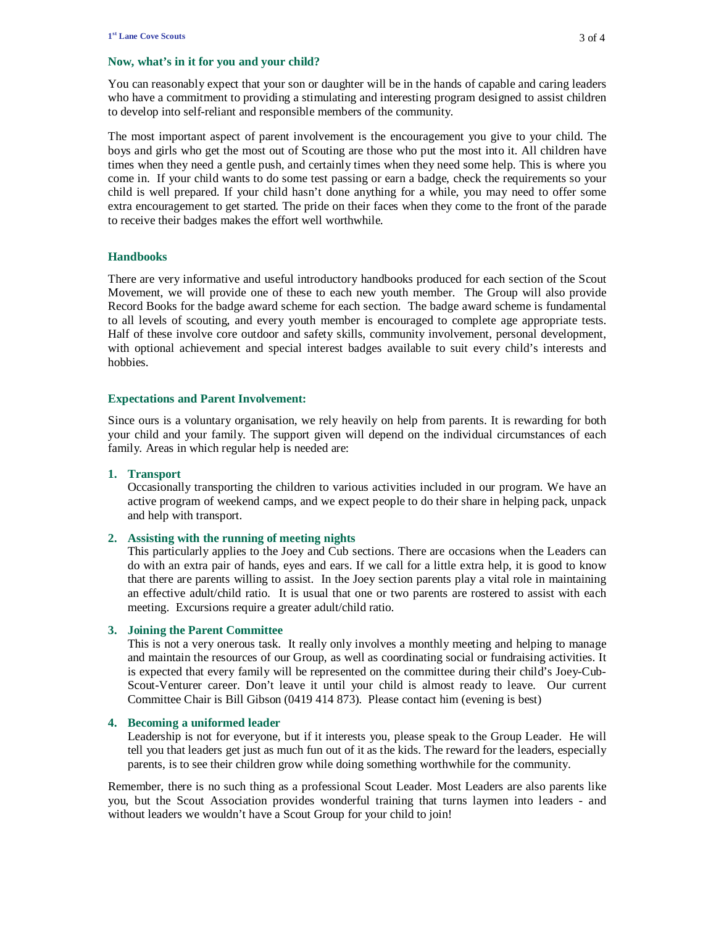#### **Now, what's in it for you and your child?**

You can reasonably expect that your son or daughter will be in the hands of capable and caring leaders who have a commitment to providing a stimulating and interesting program designed to assist children to develop into self-reliant and responsible members of the community.

The most important aspect of parent involvement is the encouragement you give to your child. The boys and girls who get the most out of Scouting are those who put the most into it. All children have times when they need a gentle push, and certainly times when they need some help. This is where you come in. If your child wants to do some test passing or earn a badge, check the requirements so your child is well prepared. If your child hasn't done anything for a while, you may need to offer some extra encouragement to get started. The pride on their faces when they come to the front of the parade to receive their badges makes the effort well worthwhile.

#### **Handbooks**

There are very informative and useful introductory handbooks produced for each section of the Scout Movement, we will provide one of these to each new youth member. The Group will also provide Record Books for the badge award scheme for each section. The badge award scheme is fundamental to all levels of scouting, and every youth member is encouraged to complete age appropriate tests. Half of these involve core outdoor and safety skills, community involvement, personal development, with optional achievement and special interest badges available to suit every child's interests and hobbies.

#### **Expectations and Parent Involvement:**

Since ours is a voluntary organisation, we rely heavily on help from parents. It is rewarding for both your child and your family. The support given will depend on the individual circumstances of each family. Areas in which regular help is needed are:

#### **1. Transport**

Occasionally transporting the children to various activities included in our program. We have an active program of weekend camps, and we expect people to do their share in helping pack, unpack and help with transport.

#### **2. Assisting with the running of meeting nights**

This particularly applies to the Joey and Cub sections. There are occasions when the Leaders can do with an extra pair of hands, eyes and ears. If we call for a little extra help, it is good to know that there are parents willing to assist. In the Joey section parents play a vital role in maintaining an effective adult/child ratio. It is usual that one or two parents are rostered to assist with each meeting. Excursions require a greater adult/child ratio.

#### **3. Joining the Parent Committee**

This is not a very onerous task. It really only involves a monthly meeting and helping to manage and maintain the resources of our Group, as well as coordinating social or fundraising activities. It is expected that every family will be represented on the committee during their child's Joey-Cub-Scout-Venturer career. Don't leave it until your child is almost ready to leave. Our current Committee Chair is Bill Gibson (0419 414 873). Please contact him (evening is best)

#### **4. Becoming a uniformed leader**

Leadership is not for everyone, but if it interests you, please speak to the Group Leader. He will tell you that leaders get just as much fun out of it as the kids. The reward for the leaders, especially parents, is to see their children grow while doing something worthwhile for the community.

Remember, there is no such thing as a professional Scout Leader. Most Leaders are also parents like you, but the Scout Association provides wonderful training that turns laymen into leaders - and without leaders we wouldn't have a Scout Group for your child to join!